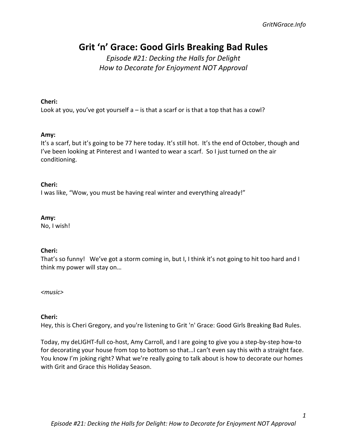# **Grit 'n' Grace: Good Girls Breaking Bad Rules**

*Episode #21: Decking the Halls for Delight How to Decorate for Enjoyment NOT Approval*

#### **Cheri:**

Look at you, you've got yourself  $a - i$ s that a scarf or is that a top that has a cowl?

#### **Amy:**

It's a scarf, but it's going to be 77 here today. It's still hot. It's the end of October, though and I've been looking at Pinterest and I wanted to wear a scarf. So I just turned on the air conditioning.

#### **Cheri:**

I was like, "Wow, you must be having real winter and everything already!"

#### **Amy:**

No, I wish!

#### **Cheri:**

That's so funny! We've got a storm coming in, but I, I think it's not going to hit too hard and I think my power will stay on…

#### *<music>*

#### **Cheri:**

Hey, this is Cheri Gregory, and you're listening to Grit 'n' Grace: Good Girls Breaking Bad Rules.

Today, my deLIGHT-full co-host, Amy Carroll, and I are going to give you a step-by-step how-to for decorating your house from top to bottom so that…I can't even say this with a straight face. You know I'm joking right? What we're really going to talk about is how to decorate our homes with Grit and Grace this Holiday Season.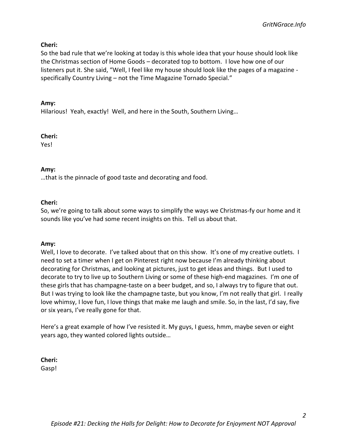So the bad rule that we're looking at today is this whole idea that your house should look like the Christmas section of Home Goods – decorated top to bottom. I love how one of our listeners put it. She said, "Well, I feel like my house should look like the pages of a magazine specifically Country Living – not the Time Magazine Tornado Special."

## **Amy:**

Hilarious! Yeah, exactly! Well, and here in the South, Southern Living…

#### **Cheri:**

Yes!

## **Amy:**

…that is the pinnacle of good taste and decorating and food.

## **Cheri:**

So, we're going to talk about some ways to simplify the ways we Christmas-fy our home and it sounds like you've had some recent insights on this. Tell us about that.

#### **Amy:**

Well, I love to decorate. I've talked about that on this show. It's one of my creative outlets. I need to set a timer when I get on Pinterest right now because I'm already thinking about decorating for Christmas, and looking at pictures, just to get ideas and things. But I used to decorate to try to live up to Southern Living or some of these high-end magazines. I'm one of these girls that has champagne-taste on a beer budget, and so, I always try to figure that out. But I was trying to look like the champagne taste, but you know, I'm not really that girl. I really love whimsy, I love fun, I love things that make me laugh and smile. So, in the last, I'd say, five or six years, I've really gone for that.

Here's a great example of how I've resisted it. My guys, I guess, hmm, maybe seven or eight years ago, they wanted colored lights outside…

**Cheri:**

Gasp!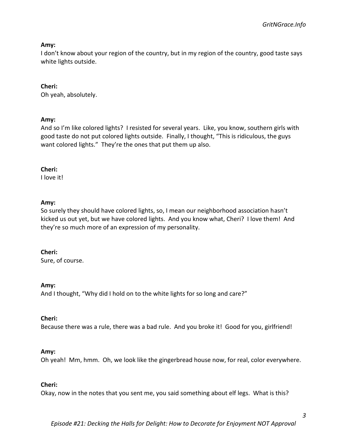I don't know about your region of the country, but in my region of the country, good taste says white lights outside.

## **Cheri:**

Oh yeah, absolutely.

## **Amy:**

And so I'm like colored lights? I resisted for several years. Like, you know, southern girls with good taste do not put colored lights outside. Finally, I thought, "This is ridiculous, the guys want colored lights." They're the ones that put them up also.

## **Cheri:**

I love it!

## **Amy:**

So surely they should have colored lights, so, I mean our neighborhood association hasn't kicked us out yet, but we have colored lights. And you know what, Cheri? I love them! And they're so much more of an expression of my personality.

#### **Cheri:**

Sure, of course.

#### **Amy:**

And I thought, "Why did I hold on to the white lights for so long and care?"

#### **Cheri:**

Because there was a rule, there was a bad rule. And you broke it! Good for you, girlfriend!

#### **Amy:**

Oh yeah! Mm, hmm. Oh, we look like the gingerbread house now, for real, color everywhere.

#### **Cheri:**

Okay, now in the notes that you sent me, you said something about elf legs. What is this?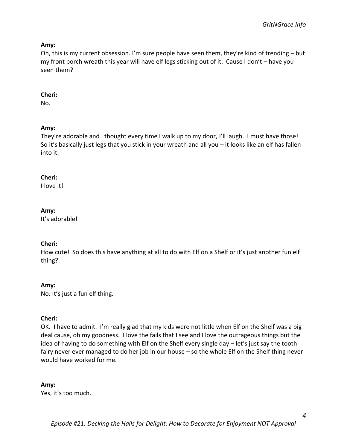Oh, this is my current obsession. I'm sure people have seen them, they're kind of trending – but my front porch wreath this year will have elf legs sticking out of it. Cause I don't – have you seen them?

## **Cheri:**

No.

## **Amy:**

They're adorable and I thought every time I walk up to my door, I'll laugh. I must have those! So it's basically just legs that you stick in your wreath and all you – it looks like an elf has fallen into it.

## **Cheri:**

I love it!

## **Amy:**

It's adorable!

#### **Cheri:**

How cute! So does this have anything at all to do with Elf on a Shelf or it's just another fun elf thing?

#### **Amy:**

No. It's just a fun elf thing.

#### **Cheri:**

OK. I have to admit. I'm really glad that my kids were not little when Elf on the Shelf was a big deal cause, oh my goodness. I love the fails that I see and I love the outrageous things but the idea of having to do something with Elf on the Shelf every single day – let's just say the tooth fairy never ever managed to do her job in our house – so the whole Elf on the Shelf thing never would have worked for me.

#### **Amy:**

Yes, it's too much.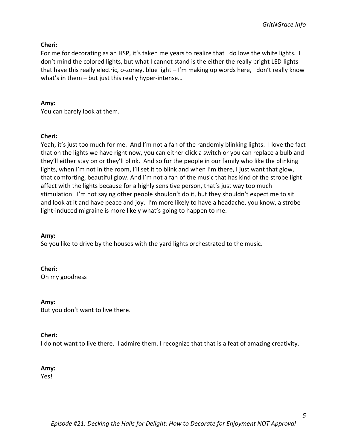For me for decorating as an HSP, it's taken me years to realize that I do love the white lights. I don't mind the colored lights, but what I cannot stand is the either the really bright LED lights that have this really electric, o-zoney, blue light – I'm making up words here, I don't really know what's in them – but just this really hyper-intense…

## **Amy:**

You can barely look at them.

#### **Cheri:**

Yeah, it's just too much for me. And I'm not a fan of the randomly blinking lights. I love the fact that on the lights we have right now, you can either click a switch or you can replace a bulb and they'll either stay on or they'll blink. And so for the people in our family who like the blinking lights, when I'm not in the room, I'll set it to blink and when I'm there, I just want that glow, that comforting, beautiful glow. And I'm not a fan of the music that has kind of the strobe light affect with the lights because for a highly sensitive person, that's just way too much stimulation. I'm not saying other people shouldn't do it, but they shouldn't expect me to sit and look at it and have peace and joy. I'm more likely to have a headache, you know, a strobe light-induced migraine is more likely what's going to happen to me.

#### **Amy:**

So you like to drive by the houses with the yard lights orchestrated to the music.

# **Cheri:**

Oh my goodness

#### **Amy:**

But you don't want to live there.

#### **Cheri:**

I do not want to live there. I admire them. I recognize that that is a feat of amazing creativity.

#### **Amy:**

Yes!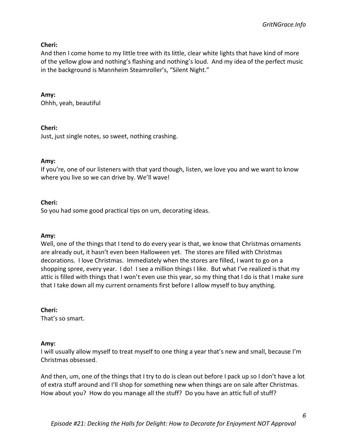And then I come home to my little tree with its little, clear white lights that have kind of more of the yellow glow and nothing's flashing and nothing's loud. And my idea of the perfect music in the background is Mannheim Steamroller's, "Silent Night."

## **Amy:**

Ohhh, yeah, beautiful

## **Cheri:**

Just, just single notes, so sweet, nothing crashing.

#### **Amy:**

If you're, one of our listeners with that yard though, listen, we love you and we want to know where you live so we can drive by. We'll wave!

## **Cheri:**

So you had some good practical tips on um, decorating ideas.

#### **Amy:**

Well, one of the things that I tend to do every year is that, we know that Christmas ornaments are already out, it hasn't even been Halloween yet. The stores are filled with Christmas decorations. I love Christmas. Immediately when the stores are filled, I want to go on a shopping spree, every year. I do! I see a million things I like. But what I've realized is that my attic is filled with things that I won't even use this year, so my thing that I do is that I make sure that I take down all my current ornaments first before I allow myself to buy anything.

# **Cheri:**

That's so smart.

#### **Amy:**

I will usually allow myself to treat myself to one thing a year that's new and small, because I'm Christmas obsessed.

And then, um, one of the things that I try to do is clean out before I pack up so I don't have a lot of extra stuff around and I'll shop for something new when things are on sale after Christmas. How about you? How do you manage all the stuff? Do you have an attic full of stuff?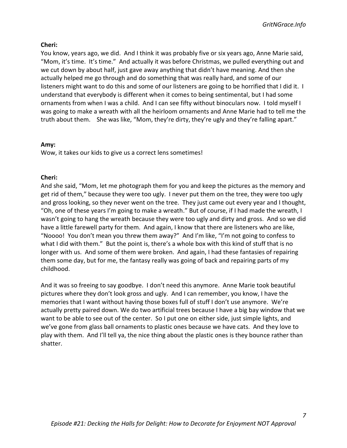You know, years ago, we did. And I think it was probably five or six years ago, Anne Marie said, "Mom, it's time. It's time." And actually it was before Christmas, we pulled everything out and we cut down by about half, just gave away anything that didn't have meaning. And then she actually helped me go through and do something that was really hard, and some of our listeners might want to do this and some of our listeners are going to be horrified that I did it. I understand that everybody is different when it comes to being sentimental, but I had some ornaments from when I was a child. And I can see fifty without binoculars now. I told myself I was going to make a wreath with all the heirloom ornaments and Anne Marie had to tell me the truth about them. She was like, "Mom, they're dirty, they're ugly and they're falling apart."

#### **Amy:**

Wow, it takes our kids to give us a correct lens sometimes!

#### **Cheri:**

And she said, "Mom, let me photograph them for you and keep the pictures as the memory and get rid of them," because they were too ugly. I never put them on the tree, they were too ugly and gross looking, so they never went on the tree. They just came out every year and I thought, "Oh, one of these years I'm going to make a wreath." But of course, if I had made the wreath, I wasn't going to hang the wreath because they were too ugly and dirty and gross. And so we did have a little farewell party for them. And again, I know that there are listeners who are like, "Noooo! You don't mean you threw them away?" And I'm like, "I'm not going to confess to what I did with them." But the point is, there's a whole box with this kind of stuff that is no longer with us. And some of them were broken. And again, I had these fantasies of repairing them some day, but for me, the fantasy really was going of back and repairing parts of my childhood.

And it was so freeing to say goodbye. I don't need this anymore. Anne Marie took beautiful pictures where they don't look gross and ugly. And I can remember, you know, I have the memories that I want without having those boxes full of stuff I don't use anymore. We're actually pretty paired down. We do two artificial trees because I have a big bay window that we want to be able to see out of the center. So I put one on either side, just simple lights, and we've gone from glass ball ornaments to plastic ones because we have cats. And they love to play with them. And I'll tell ya, the nice thing about the plastic ones is they bounce rather than shatter.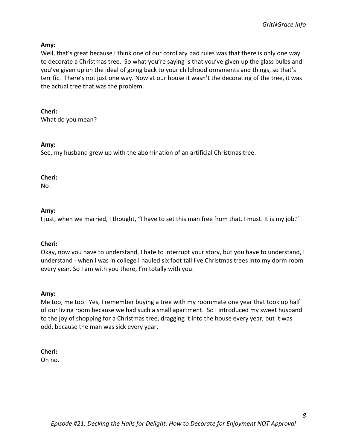Well, that's great because I think one of our corollary bad rules was that there is only one way to decorate a Christmas tree. So what you're saying is that you've given up the glass bulbs and you've given up on the ideal of going back to your childhood ornaments and things, so that's terrific. There's not just one way. Now at our house it wasn't the decorating of the tree, it was the actual tree that was the problem.

# **Cheri:**

What do you mean?

#### **Amy:**

See, my husband grew up with the abomination of an artificial Christmas tree.

#### **Cheri:**

No!

## **Amy:**

I just, when we married, I thought, "I have to set this man free from that. I must. It is my job."

#### **Cheri:**

Okay, now you have to understand, I hate to interrupt your story, but you have to understand, I understand - when I was in college I hauled six foot tall live Christmas trees into my dorm room every year. So I am with you there, I'm totally with you.

#### **Amy:**

Me too, me too. Yes, I remember buying a tree with my roommate one year that took up half of our living room because we had such a small apartment. So I introduced my sweet husband to the joy of shopping for a Christmas tree, dragging it into the house every year, but it was odd, because the man was sick every year.

# **Cheri:**

Oh no.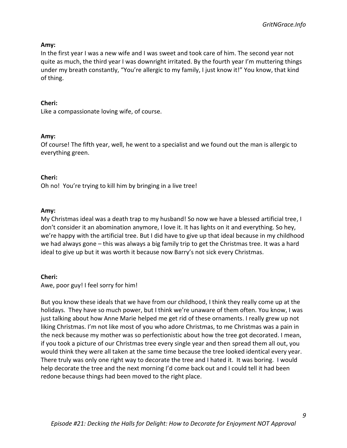In the first year I was a new wife and I was sweet and took care of him. The second year not quite as much, the third year I was downright irritated. By the fourth year I'm muttering things under my breath constantly, "You're allergic to my family, I just know it!" You know, that kind of thing.

## **Cheri:**

Like a compassionate loving wife, of course.

## **Amy:**

Of course! The fifth year, well, he went to a specialist and we found out the man is allergic to everything green.

## **Cheri:**

Oh no! You're trying to kill him by bringing in a live tree!

## **Amy:**

My Christmas ideal was a death trap to my husband! So now we have a blessed artificial tree, I don't consider it an abomination anymore, I love it. It has lights on it and everything. So hey, we're happy with the artificial tree. But I did have to give up that ideal because in my childhood we had always gone – this was always a big family trip to get the Christmas tree. It was a hard ideal to give up but it was worth it because now Barry's not sick every Christmas.

#### **Cheri:**

Awe, poor guy! I feel sorry for him!

But you know these ideals that we have from our childhood, I think they really come up at the holidays. They have so much power, but I think we're unaware of them often. You know, I was just talking about how Anne Marie helped me get rid of these ornaments. I really grew up not liking Christmas. I'm not like most of you who adore Christmas, to me Christmas was a pain in the neck because my mother was so perfectionistic about how the tree got decorated. I mean, if you took a picture of our Christmas tree every single year and then spread them all out, you would think they were all taken at the same time because the tree looked identical every year. There truly was only one right way to decorate the tree and I hated it. It was boring. I would help decorate the tree and the next morning I'd come back out and I could tell it had been redone because things had been moved to the right place.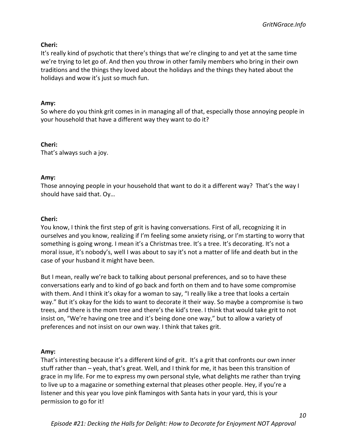It's really kind of psychotic that there's things that we're clinging to and yet at the same time we're trying to let go of. And then you throw in other family members who bring in their own traditions and the things they loved about the holidays and the things they hated about the holidays and wow it's just so much fun.

## **Amy:**

So where do you think grit comes in in managing all of that, especially those annoying people in your household that have a different way they want to do it?

**Cheri:** That's always such a joy.

## **Amy:**

Those annoying people in your household that want to do it a different way? That's the way I should have said that. Oy…

## **Cheri:**

You know, I think the first step of grit is having conversations. First of all, recognizing it in ourselves and you know, realizing if I'm feeling some anxiety rising, or I'm starting to worry that something is going wrong. I mean it's a Christmas tree. It's a tree. It's decorating. It's not a moral issue, it's nobody's, well I was about to say it's not a matter of life and death but in the case of your husband it might have been.

But I mean, really we're back to talking about personal preferences, and so to have these conversations early and to kind of go back and forth on them and to have some compromise with them. And I think it's okay for a woman to say, "I really like a tree that looks a certain way." But it's okay for the kids to want to decorate it their way. So maybe a compromise is two trees, and there is the mom tree and there's the kid's tree. I think that would take grit to not insist on, "We're having one tree and it's being done one way," but to allow a variety of preferences and not insist on our own way. I think that takes grit.

#### **Amy:**

That's interesting because it's a different kind of grit. It's a grit that confronts our own inner stuff rather than – yeah, that's great. Well, and I think for me, it has been this transition of grace in my life. For me to express my own personal style, what delights me rather than trying to live up to a magazine or something external that pleases other people. Hey, if you're a listener and this year you love pink flamingos with Santa hats in your yard, this is your permission to go for it!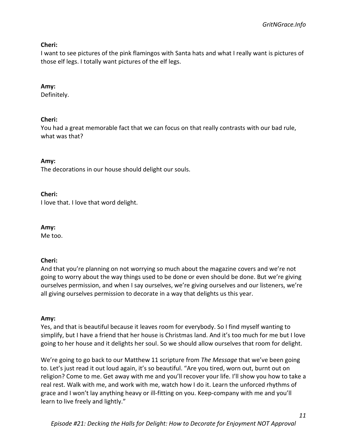I want to see pictures of the pink flamingos with Santa hats and what I really want is pictures of those elf legs. I totally want pictures of the elf legs.

#### **Amy:**

Definitely.

## **Cheri:**

You had a great memorable fact that we can focus on that really contrasts with our bad rule, what was that?

## **Amy:**

The decorations in our house should delight our souls.

## **Cheri:**

I love that. I love that word delight.

# **Amy:**

Me too.

# **Cheri:**

And that you're planning on not worrying so much about the magazine covers and we're not going to worry about the way things used to be done or even should be done. But we're giving ourselves permission, and when I say ourselves, we're giving ourselves and our listeners, we're all giving ourselves permission to decorate in a way that delights us this year.

# **Amy:**

Yes, and that is beautiful because it leaves room for everybody. So I find myself wanting to simplify, but I have a friend that her house is Christmas land. And it's too much for me but I love going to her house and it delights her soul. So we should allow ourselves that room for delight.

We're going to go back to our Matthew 11 scripture from *The Message* that we've been going to. Let's just read it out loud again, it's so beautiful. "Are you tired, worn out, burnt out on religion? Come to me. Get away with me and you'll recover your life. I'll show you how to take a real rest. Walk with me, and work with me, watch how I do it. Learn the unforced rhythms of grace and I won't lay anything heavy or ill-fitting on you. Keep-company with me and you'll learn to live freely and lightly."